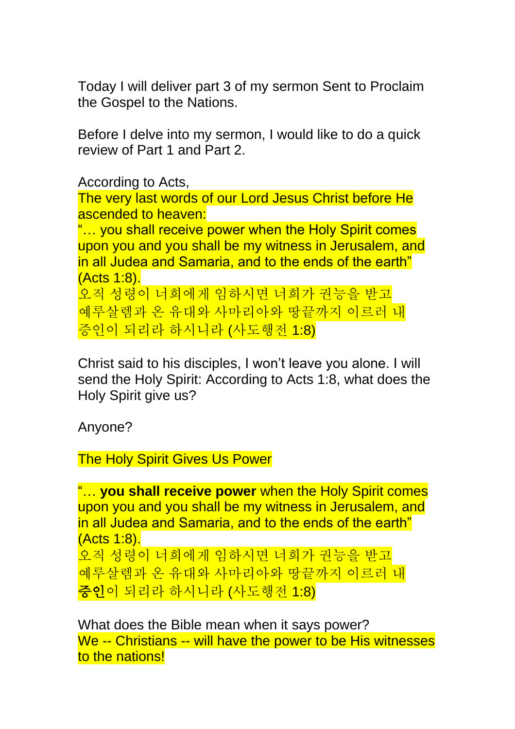Today I will deliver part 3 of my sermon Sent to Proclaim the Gospel to the Nations.

Before I delve into my sermon, I would like to do a quick review of Part 1 and Part 2.

According to Acts, The very last words of our Lord Jesus Christ before He ascended to heaven: "… you shall receive power when the Holy Spirit comes upon you and you shall be my witness in Jerusalem, and in all Judea and Samaria, and to the ends of the earth" (Acts 1:8). 오직 성령이 너희에게 임하시면 너희가 권능을 받고 예루살렘과 온 유대와 사마리아와 땅끝까지 이르러 내

증인이 되리라 하시니라 (사도행전 1:8)

Christ said to his disciples, I won't leave you alone. I will send the Holy Spirit: According to Acts 1:8, what does the Holy Spirit give us?

Anyone?

The Holy Spirit Gives Us Power

```
"… you shall receive power when the Holy Spirit comes 
upon you and you shall be my witness in Jerusalem, and 
in all Judea and Samaria, and to the ends of the earth" 
(Acts 1:8). 
오직 성령이 너희에게 임하시면 너희가 권능을 받고
예루살렘과 온 유대와 사마리아와 땅끝까지 이르러 내
증인이 되리라 하시니라 (사도행전 1:8)
```
What does the Bible mean when it says power? We -- Christians -- will have the power to be His witnesses to the nations!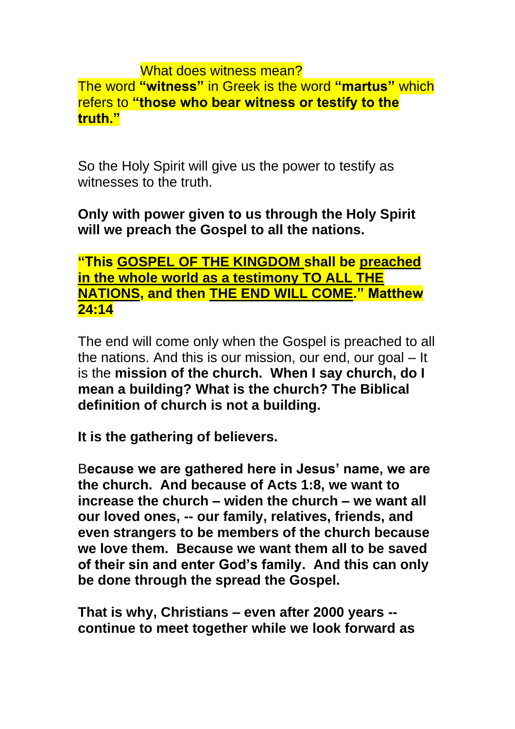### What does witness mean? The word **"witness"** in Greek is the word **"martus"** which refers to **"those who bear witness or testify to the truth."**

So the Holy Spirit will give us the power to testify as witnesses to the truth.

## **Only with power given to us through the Holy Spirit will we preach the Gospel to all the nations.**

## **"This GOSPEL OF THE KINGDOM shall be preached in the whole world as a testimony TO ALL THE NATIONS, and then THE END WILL COME." Matthew 24:14**

The end will come only when the Gospel is preached to all the nations. And this is our mission, our end, our goal – It is the **mission of the church. When I say church, do I mean a building? What is the church? The Biblical definition of church is not a building.** 

**It is the gathering of believers.**

B**ecause we are gathered here in Jesus' name, we are the church. And because of Acts 1:8, we want to increase the church – widen the church – we want all our loved ones, -- our family, relatives, friends, and even strangers to be members of the church because we love them. Because we want them all to be saved of their sin and enter God's family. And this can only be done through the spread the Gospel.** 

**That is why, Christians – even after 2000 years - continue to meet together while we look forward as**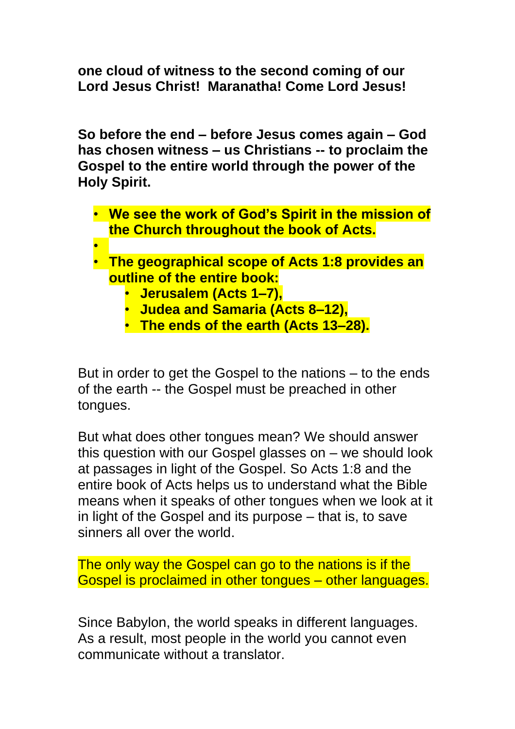**one cloud of witness to the second coming of our Lord Jesus Christ! Maranatha! Come Lord Jesus!** 

**So before the end – before Jesus comes again – God has chosen witness – us Christians -- to proclaim the Gospel to the entire world through the power of the Holy Spirit.** 

- **We see the work of God's Spirit in the mission of the Church throughout the book of Acts.**
- •
- **The geographical scope of Acts 1:8 provides an outline of the entire book:** 
	- **Jerusalem (Acts 1–7),**
	- **Judea and Samaria (Acts 8–12),**
	- **The ends of the earth (Acts 13–28).**

But in order to get the Gospel to the nations – to the ends of the earth -- the Gospel must be preached in other tongues.

But what does other tongues mean? We should answer this question with our Gospel glasses on – we should look at passages in light of the Gospel. So Acts 1:8 and the entire book of Acts helps us to understand what the Bible means when it speaks of other tongues when we look at it in light of the Gospel and its purpose – that is, to save sinners all over the world.

The only way the Gospel can go to the nations is if the Gospel is proclaimed in other tongues – other languages.

Since Babylon, the world speaks in different languages. As a result, most people in the world you cannot even communicate without a translator.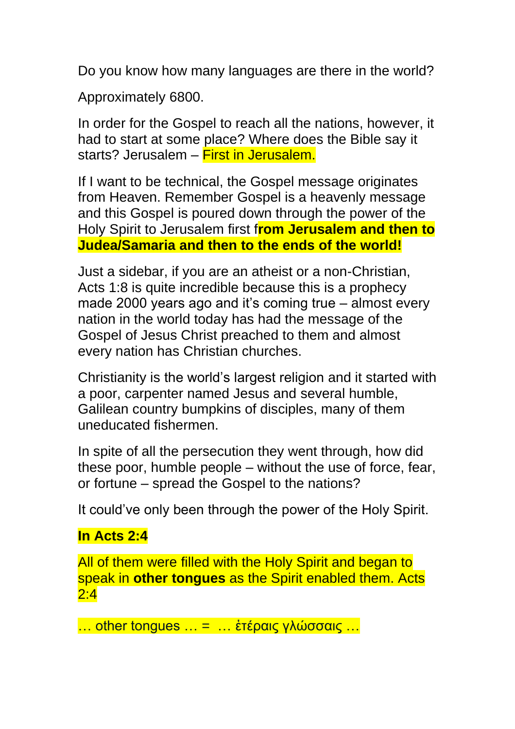Do you know how many languages are there in the world?

Approximately 6800.

In order for the Gospel to reach all the nations, however, it had to start at some place? Where does the Bible say it starts? Jerusalem – First in Jerusalem.

If I want to be technical, the Gospel message originates from Heaven. Remember Gospel is a heavenly message and this Gospel is poured down through the power of the Holy Spirit to Jerusalem first f**rom Jerusalem and then to Judea/Samaria and then to the ends of the world!**

Just a sidebar, if you are an atheist or a non-Christian, Acts 1:8 is quite incredible because this is a prophecy made 2000 years ago and it's coming true – almost every nation in the world today has had the message of the Gospel of Jesus Christ preached to them and almost every nation has Christian churches.

Christianity is the world's largest religion and it started with a poor, carpenter named Jesus and several humble, Galilean country bumpkins of disciples, many of them uneducated fishermen.

In spite of all the persecution they went through, how did these poor, humble people – without the use of force, fear, or fortune – spread the Gospel to the nations?

It could've only been through the power of the Holy Spirit.

# **In Acts 2:4**

All of them were filled with the Holy Spirit and began to speak in **other tongues** as the Spirit enabled them. Acts 2:4

… other tongues … = … ἑτέραις γλώσσαις …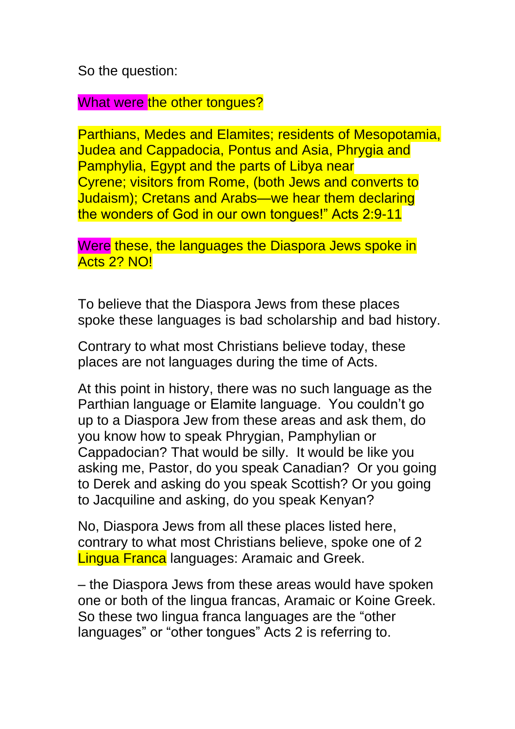So the question:

What were the other tongues?

Parthians, Medes and Elamites; residents of Mesopotamia, Judea and Cappadocia, Pontus and Asia, Phrygia and Pamphylia, Egypt and the parts of Libya near Cyrene; visitors from Rome, (both Jews and converts to Judaism); Cretans and Arabs—we hear them declaring the wonders of God in our own tongues!" Acts 2:9-11

Were these, the languages the Diaspora Jews spoke in Acts 2? NO!

To believe that the Diaspora Jews from these places spoke these languages is bad scholarship and bad history.

Contrary to what most Christians believe today, these places are not languages during the time of Acts.

At this point in history, there was no such language as the Parthian language or Elamite language. You couldn't go up to a Diaspora Jew from these areas and ask them, do you know how to speak Phrygian, Pamphylian or Cappadocian? That would be silly. It would be like you asking me, Pastor, do you speak Canadian? Or you going to Derek and asking do you speak Scottish? Or you going to Jacquiline and asking, do you speak Kenyan?

No, Diaspora Jews from all these places listed here, contrary to what most Christians believe, spoke one of 2 Lingua Franca languages: Aramaic and Greek.

– the Diaspora Jews from these areas would have spoken one or both of the lingua francas, Aramaic or Koine Greek. So these two lingua franca languages are the "other languages" or "other tongues" Acts 2 is referring to.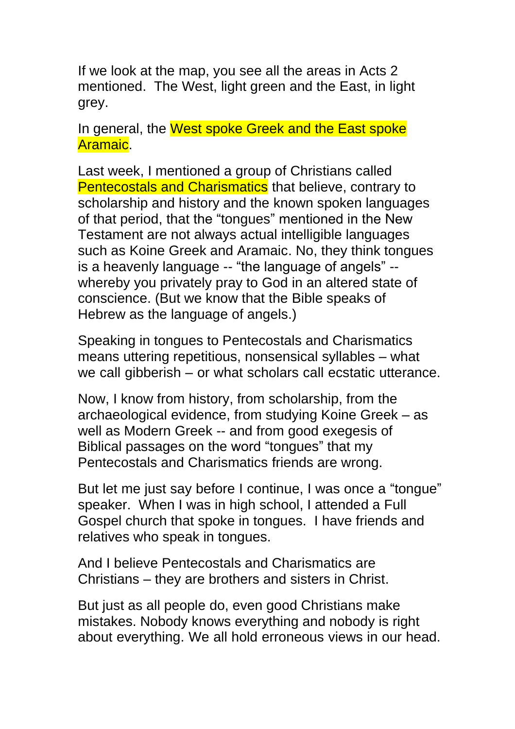If we look at the map, you see all the areas in Acts 2 mentioned. The West, light green and the East, in light grey.

In general, the West spoke Greek and the East spoke Aramaic.

Last week, I mentioned a group of Christians called **Pentecostals and Charismatics that believe, contrary to** scholarship and history and the known spoken languages of that period, that the "tongues" mentioned in the New Testament are not always actual intelligible languages such as Koine Greek and Aramaic. No, they think tongues is a heavenly language -- "the language of angels" - whereby you privately pray to God in an altered state of conscience. (But we know that the Bible speaks of Hebrew as the language of angels.)

Speaking in tongues to Pentecostals and Charismatics means uttering repetitious, nonsensical syllables – what we call gibberish – or what scholars call ecstatic utterance.

Now, I know from history, from scholarship, from the archaeological evidence, from studying Koine Greek – as well as Modern Greek -- and from good exegesis of Biblical passages on the word "tongues" that my Pentecostals and Charismatics friends are wrong.

But let me just say before I continue, I was once a "tongue" speaker. When I was in high school, I attended a Full Gospel church that spoke in tongues. I have friends and relatives who speak in tongues.

And I believe Pentecostals and Charismatics are Christians – they are brothers and sisters in Christ.

But just as all people do, even good Christians make mistakes. Nobody knows everything and nobody is right about everything. We all hold erroneous views in our head.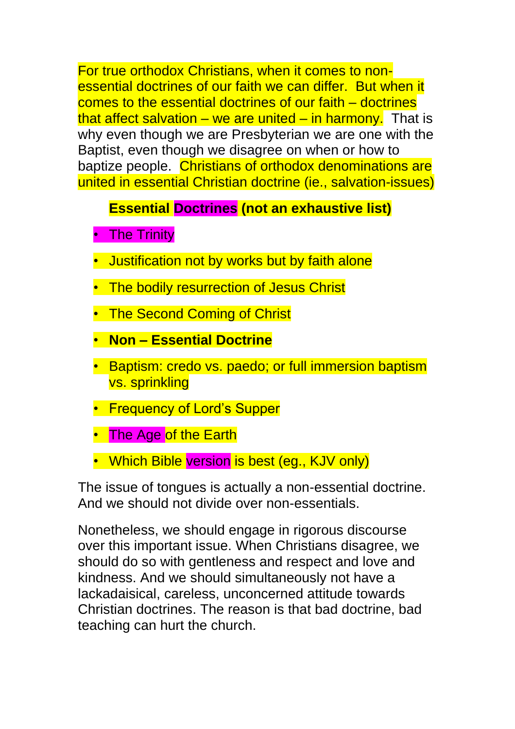For true orthodox Christians, when it comes to nonessential doctrines of our faith we can differ. But when it comes to the essential doctrines of our faith – doctrines that affect salvation – we are united – in harmony. That is why even though we are Presbyterian we are one with the Baptist, even though we disagree on when or how to baptize people. Christians of orthodox denominations are united in essential Christian doctrine (ie., salvation-issues)

## **Essential Doctrines (not an exhaustive list)**

- The Trinity
- Justification not by works but by faith alone
- The bodily resurrection of Jesus Christ
- The Second Coming of Christ
- **Non – Essential Doctrine**
- Baptism: credo vs. paedo; or full immersion baptism vs. sprinkling
- Frequency of Lord's Supper
- The Age of the Earth
- Which Bible version is best (eg., KJV only)

The issue of tongues is actually a non-essential doctrine. And we should not divide over non-essentials.

Nonetheless, we should engage in rigorous discourse over this important issue. When Christians disagree, we should do so with gentleness and respect and love and kindness. And we should simultaneously not have a lackadaisical, careless, unconcerned attitude towards Christian doctrines. The reason is that bad doctrine, bad teaching can hurt the church.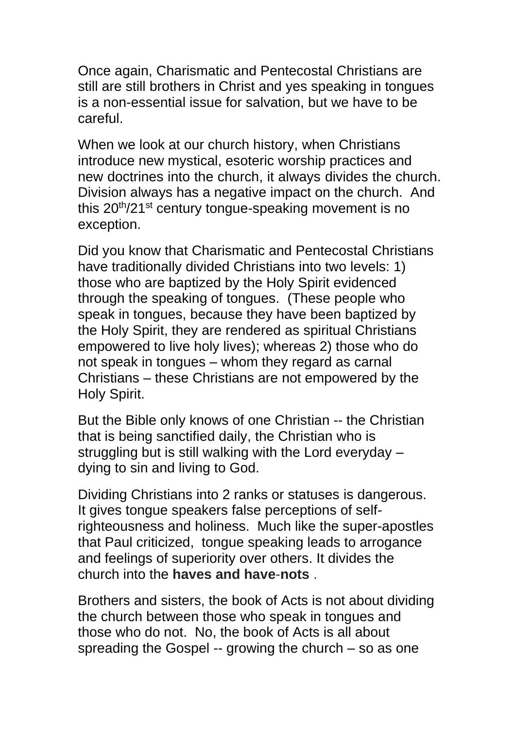Once again, Charismatic and Pentecostal Christians are still are still brothers in Christ and yes speaking in tongues is a non-essential issue for salvation, but we have to be careful.

When we look at our church history, when Christians introduce new mystical, esoteric worship practices and new doctrines into the church, it always divides the church. Division always has a negative impact on the church. And this  $20<sup>th</sup>/21<sup>st</sup>$  century tongue-speaking movement is no exception.

Did you know that Charismatic and Pentecostal Christians have traditionally divided Christians into two levels: 1) those who are baptized by the Holy Spirit evidenced through the speaking of tongues. (These people who speak in tongues, because they have been baptized by the Holy Spirit, they are rendered as spiritual Christians empowered to live holy lives); whereas 2) those who do not speak in tongues – whom they regard as carnal Christians – these Christians are not empowered by the Holy Spirit.

But the Bible only knows of one Christian -- the Christian that is being sanctified daily, the Christian who is struggling but is still walking with the Lord everyday – dying to sin and living to God.

Dividing Christians into 2 ranks or statuses is dangerous. It gives tongue speakers false perceptions of selfrighteousness and holiness. Much like the super-apostles that Paul criticized, tongue speaking leads to arrogance and feelings of superiority over others. It divides the church into the **haves and have**-**nots** .

Brothers and sisters, the book of Acts is not about dividing the church between those who speak in tongues and those who do not. No, the book of Acts is all about spreading the Gospel -- growing the church – so as one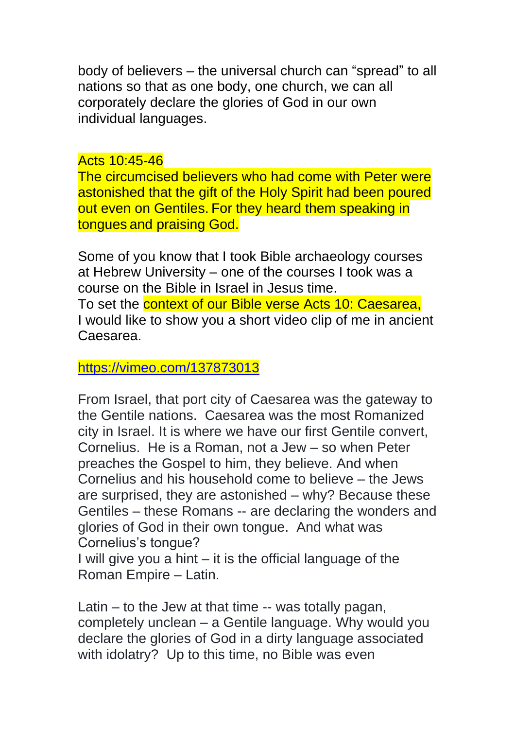body of believers – the universal church can "spread" to all nations so that as one body, one church, we can all corporately declare the glories of God in our own individual languages.

#### Acts 10:45-46

The circumcised believers who had come with Peter were astonished that the gift of the Holy Spirit had been poured out even on Gentiles. For they heard them speaking in tongues and praising God.

Some of you know that I took Bible archaeology courses at Hebrew University – one of the courses I took was a course on the Bible in Israel in Jesus time. To set the **context of our Bible verse Acts 10: Caesarea**, I would like to show you a short video clip of me in ancient Caesarea.

## <https://vimeo.com/137873013>

From Israel, that port city of Caesarea was the gateway to the Gentile nations. Caesarea was the most Romanized city in Israel. It is where we have our first Gentile convert, Cornelius. He is a Roman, not a Jew – so when Peter preaches the Gospel to him, they believe. And when Cornelius and his household come to believe – the Jews are surprised, they are astonished – why? Because these Gentiles – these Romans -- are declaring the wonders and glories of God in their own tongue. And what was Cornelius's tongue?

I will give you a hint – it is the official language of the Roman Empire – Latin.

Latin – to the Jew at that time -- was totally pagan, completely unclean – a Gentile language. Why would you declare the glories of God in a dirty language associated with idolatry? Up to this time, no Bible was even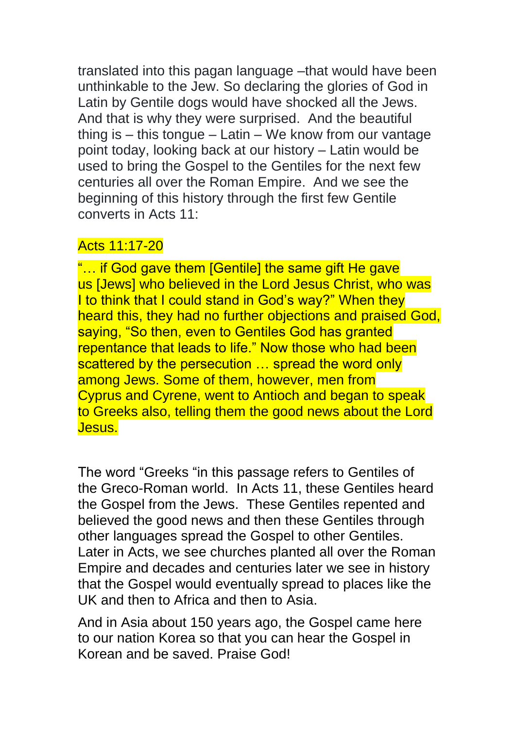translated into this pagan language –that would have been unthinkable to the Jew. So declaring the glories of God in Latin by Gentile dogs would have shocked all the Jews. And that is why they were surprised. And the beautiful thing is – this tongue – Latin – We know from our vantage point today, looking back at our history – Latin would be used to bring the Gospel to the Gentiles for the next few centuries all over the Roman Empire. And we see the beginning of this history through the first few Gentile converts in Acts 11:

## Acts 11:17-20

"... if God gave them [Gentile] the same gift He gave us [Jews] who believed in the Lord Jesus Christ, who was I to think that I could stand in God's way?" When they heard this, they had no further objections and praised God, saying, "So then, even to Gentiles God has granted repentance that leads to life." Now those who had been scattered by the persecution … spread the word only among Jews. Some of them, however, men from Cyprus and Cyrene, went to Antioch and began to speak to Greeks also, telling them the good news about the Lord Jesus.

The word "Greeks "in this passage refers to Gentiles of the Greco-Roman world. In Acts 11, these Gentiles heard the Gospel from the Jews. These Gentiles repented and believed the good news and then these Gentiles through other languages spread the Gospel to other Gentiles. Later in Acts, we see churches planted all over the Roman Empire and decades and centuries later we see in history that the Gospel would eventually spread to places like the UK and then to Africa and then to Asia.

And in Asia about 150 years ago, the Gospel came here to our nation Korea so that you can hear the Gospel in Korean and be saved. Praise God!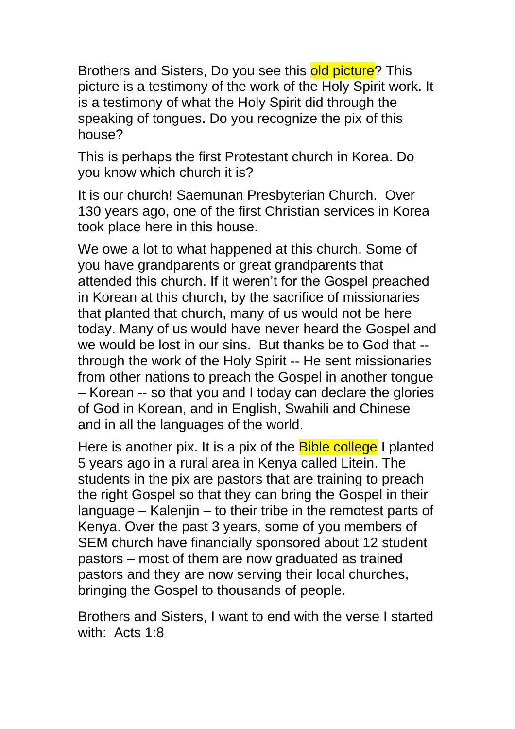Brothers and Sisters, Do you see this old picture? This picture is a testimony of the work of the Holy Spirit work. It is a testimony of what the Holy Spirit did through the speaking of tongues. Do you recognize the pix of this house?

This is perhaps the first Protestant church in Korea. Do you know which church it is?

It is our church! Saemunan Presbyterian Church. Over 130 years ago, one of the first Christian services in Korea took place here in this house.

We owe a lot to what happened at this church. Some of you have grandparents or great grandparents that attended this church. If it weren't for the Gospel preached in Korean at this church, by the sacrifice of missionaries that planted that church, many of us would not be here today. Many of us would have never heard the Gospel and we would be lost in our sins. But thanks be to God that - through the work of the Holy Spirit -- He sent missionaries from other nations to preach the Gospel in another tongue – Korean -- so that you and I today can declare the glories of God in Korean, and in English, Swahili and Chinese and in all the languages of the world.

Here is another pix. It is a pix of the **Bible college** I planted 5 years ago in a rural area in Kenya called Litein. The students in the pix are pastors that are training to preach the right Gospel so that they can bring the Gospel in their language – Kalenjin – to their tribe in the remotest parts of Kenya. Over the past 3 years, some of you members of SEM church have financially sponsored about 12 student pastors – most of them are now graduated as trained pastors and they are now serving their local churches, bringing the Gospel to thousands of people.

Brothers and Sisters, I want to end with the verse I started with: Acts 1:8